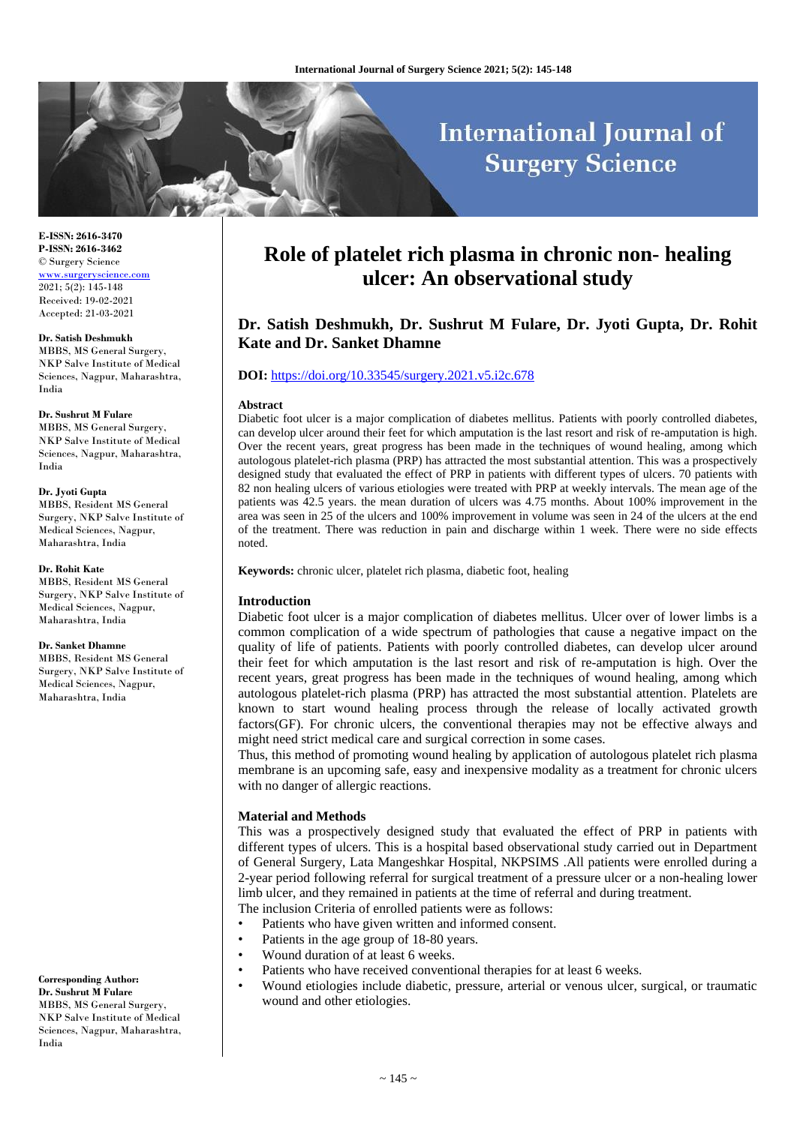# **International Journal of Surgery Science**

**E-ISSN: 2616-3470 P-ISSN: 2616-3462** © Surgery Science [www.surgeryscience.com](http://www.surgeryscience.com/) 2021; 5(2): 145-148 Received: 19-02-2021 Accepted: 21-03-2021

#### **Dr. Satish Deshmukh**

MBBS, MS General Surgery, NKP Salve Institute of Medical Sciences, Nagpur, Maharashtra, India

#### **Dr. Sushrut M Fulare**

MBBS, MS General Surgery, NKP Salve Institute of Medical Sciences, Nagpur, Maharashtra, India

#### **Dr. Jyoti Gupta**

MBBS, Resident MS General Surgery, NKP Salve Institute of Medical Sciences, Nagpur, Maharashtra, India

#### **Dr. Rohit Kate**

MBBS, Resident MS General Surgery, NKP Salve Institute of Medical Sciences, Nagpur, Maharashtra, India

#### **Dr. Sanket Dhamne**

MBBS, Resident MS General Surgery, NKP Salve Institute of Medical Sciences, Nagpur, Maharashtra, India

**Corresponding Author: Dr. Sushrut M Fulare** MBBS, MS General Surgery, NKP Salve Institute of Medical Sciences, Nagpur, Maharashtra, India

# **Role of platelet rich plasma in chronic non- healing ulcer: An observational study**

# **Dr. Satish Deshmukh, Dr. Sushrut M Fulare, Dr. Jyoti Gupta, Dr. Rohit Kate and Dr. Sanket Dhamne**

#### **DOI:** <https://doi.org/10.33545/surgery.2021.v5.i2c.678>

#### **Abstract**

Diabetic foot ulcer is a major complication of diabetes mellitus. Patients with poorly controlled diabetes, can develop ulcer around their feet for which amputation is the last resort and risk of re-amputation is high. Over the recent years, great progress has been made in the techniques of wound healing, among which autologous platelet-rich plasma (PRP) has attracted the most substantial attention. This was a prospectively designed study that evaluated the effect of PRP in patients with different types of ulcers. 70 patients with 82 non healing ulcers of various etiologies were treated with PRP at weekly intervals. The mean age of the patients was 42.5 years. the mean duration of ulcers was 4.75 months. About 100% improvement in the area was seen in 25 of the ulcers and 100% improvement in volume was seen in 24 of the ulcers at the end of the treatment. There was reduction in pain and discharge within 1 week. There were no side effects noted.

**Keywords:** chronic ulcer, platelet rich plasma, diabetic foot, healing

#### **Introduction**

Diabetic foot ulcer is a major complication of diabetes mellitus. Ulcer over of lower limbs is a common complication of a wide spectrum of pathologies that cause a negative impact on the quality of life of patients. Patients with poorly controlled diabetes, can develop ulcer around their feet for which amputation is the last resort and risk of re-amputation is high. Over the recent years, great progress has been made in the techniques of wound healing, among which autologous platelet-rich plasma (PRP) has attracted the most substantial attention. Platelets are known to start wound healing process through the release of locally activated growth factors(GF). For chronic ulcers, the conventional therapies may not be effective always and might need strict medical care and surgical correction in some cases.

Thus, this method of promoting wound healing by application of autologous platelet rich plasma membrane is an upcoming safe, easy and inexpensive modality as a treatment for chronic ulcers with no danger of allergic reactions.

#### **Material and Methods**

This was a prospectively designed study that evaluated the effect of PRP in patients with different types of ulcers. This is a hospital based observational study carried out in Department of General Surgery, Lata Mangeshkar Hospital, NKPSIMS .All patients were enrolled during a 2-year period following referral for surgical treatment of a pressure ulcer or a non-healing lower limb ulcer, and they remained in patients at the time of referral and during treatment. The inclusion Criteria of enrolled patients were as follows:

- Patients who have given written and informed consent.
- Patients in the age group of 18-80 years.
- Wound duration of at least 6 weeks.
- Patients who have received conventional therapies for at least 6 weeks.
- Wound etiologies include diabetic, pressure, arterial or venous ulcer, surgical, or traumatic wound and other etiologies.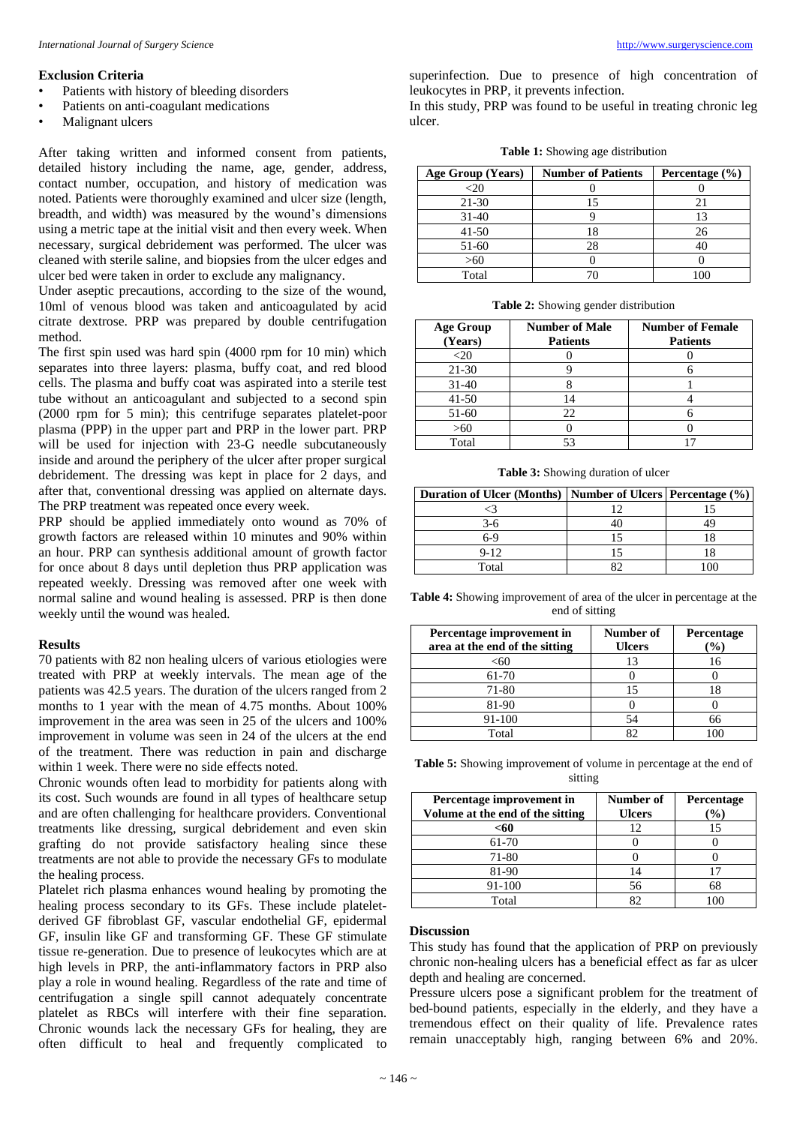# **Exclusion Criteria**

- Patients with history of bleeding disorders
- Patients on anti-coagulant medications
- Malignant ulcers

After taking written and informed consent from patients, detailed history including the name, age, gender, address, contact number, occupation, and history of medication was noted. Patients were thoroughly examined and ulcer size (length, breadth, and width) was measured by the wound's dimensions using a metric tape at the initial visit and then every week. When necessary, surgical debridement was performed. The ulcer was cleaned with sterile saline, and biopsies from the ulcer edges and ulcer bed were taken in order to exclude any malignancy.

Under aseptic precautions, according to the size of the wound, 10ml of venous blood was taken and anticoagulated by acid citrate dextrose. PRP was prepared by double centrifugation method.

The first spin used was hard spin (4000 rpm for 10 min) which separates into three layers: plasma, buffy coat, and red blood cells. The plasma and buffy coat was aspirated into a sterile test tube without an anticoagulant and subjected to a second spin (2000 rpm for 5 min); this centrifuge separates platelet-poor plasma (PPP) in the upper part and PRP in the lower part. PRP will be used for injection with 23-G needle subcutaneously inside and around the periphery of the ulcer after proper surgical debridement. The dressing was kept in place for 2 days, and after that, conventional dressing was applied on alternate days. The PRP treatment was repeated once every week.

PRP should be applied immediately onto wound as 70% of growth factors are released within 10 minutes and 90% within an hour. PRP can synthesis additional amount of growth factor for once about 8 days until depletion thus PRP application was repeated weekly. Dressing was removed after one week with normal saline and wound healing is assessed. PRP is then done weekly until the wound was healed.

#### **Results**

70 patients with 82 non healing ulcers of various etiologies were treated with PRP at weekly intervals. The mean age of the patients was 42.5 years. The duration of the ulcers ranged from 2 months to 1 year with the mean of 4.75 months. About 100% improvement in the area was seen in 25 of the ulcers and 100% improvement in volume was seen in 24 of the ulcers at the end of the treatment. There was reduction in pain and discharge within 1 week. There were no side effects noted.

Chronic wounds often lead to morbidity for patients along with its cost. Such wounds are found in all types of healthcare setup and are often challenging for healthcare providers. Conventional treatments like dressing, surgical debridement and even skin grafting do not provide satisfactory healing since these treatments are not able to provide the necessary GFs to modulate the healing process.

Platelet rich plasma enhances wound healing by promoting the healing process secondary to its GFs. These include plateletderived GF fibroblast GF, vascular endothelial GF, epidermal GF, insulin like GF and transforming GF. These GF stimulate tissue re-generation. Due to presence of leukocytes which are at high levels in PRP, the anti-inflammatory factors in PRP also play a role in wound healing. Regardless of the rate and time of centrifugation a single spill cannot adequately concentrate platelet as RBCs will interfere with their fine separation. Chronic wounds lack the necessary GFs for healing, they are often difficult to heal and frequently complicated to

superinfection. Due to presence of high concentration of leukocytes in PRP, it prevents infection.

In this study, PRP was found to be useful in treating chronic leg ulcer.

**Table 1:** Showing age distribution

| Age Group (Years) | <b>Number of Patients</b> | Percentage $(\% )$ |
|-------------------|---------------------------|--------------------|
| <20               |                           |                    |
| 21-30             |                           |                    |
| 31-40             |                           |                    |
| $41 - 50$         |                           | 26                 |
| 51-60             | 28                        |                    |
| >60               |                           |                    |
| Total             |                           |                    |

**Table 2:** Showing gender distribution

| <b>Age Group</b><br>(Years) | <b>Number of Male</b><br><b>Patients</b> | <b>Number of Female</b><br><b>Patients</b> |
|-----------------------------|------------------------------------------|--------------------------------------------|
| $<$ 20                      |                                          |                                            |
| $21-30$                     |                                          |                                            |
| $31 - 40$                   |                                          |                                            |
| $41 - 50$                   | 14                                       |                                            |
| 51-60                       | 22                                       |                                            |
| >60                         |                                          |                                            |
| Total                       | 53                                       |                                            |

**Table 3:** Showing duration of ulcer

| Duration of Ulcer (Months)   Number of Ulcers   Percentage (%) |  |
|----------------------------------------------------------------|--|
|                                                                |  |
| $3-6$                                                          |  |
| 6-9                                                            |  |
| $9 - 12$                                                       |  |
| Total                                                          |  |

**Table 4:** Showing improvement of area of the ulcer in percentage at the end of sitting

| Percentage improvement in<br>area at the end of the sitting | Number of<br><b>Ulcers</b> | Percentage<br>$\mathcal{O}_\mathbf{0}$ |
|-------------------------------------------------------------|----------------------------|----------------------------------------|
| <60                                                         | 13                         | 16                                     |
| 61-70                                                       |                            |                                        |
| 71-80                                                       | 15                         |                                        |
| 81-90                                                       |                            |                                        |
| 91-100                                                      | 54                         | 66                                     |
| Total                                                       | 82                         |                                        |

**Table 5:** Showing improvement of volume in percentage at the end of sitting

| Percentage improvement in<br>Volume at the end of the sitting | Number of<br><b>Ulcers</b> | Percentage<br>$\%$ |
|---------------------------------------------------------------|----------------------------|--------------------|
| <60                                                           | 12                         | 15                 |
| 61-70                                                         |                            |                    |
| 71-80                                                         |                            |                    |
| 81-90                                                         | 14                         |                    |
| 91-100                                                        | 56                         | 68                 |
| Total                                                         |                            |                    |

### **Discussion**

This study has found that the application of PRP on previously chronic non-healing ulcers has a beneficial effect as far as ulcer depth and healing are concerned.

Pressure ulcers pose a significant problem for the treatment of bed-bound patients, especially in the elderly, and they have a tremendous effect on their quality of life. Prevalence rates remain unacceptably high, ranging between 6% and 20%.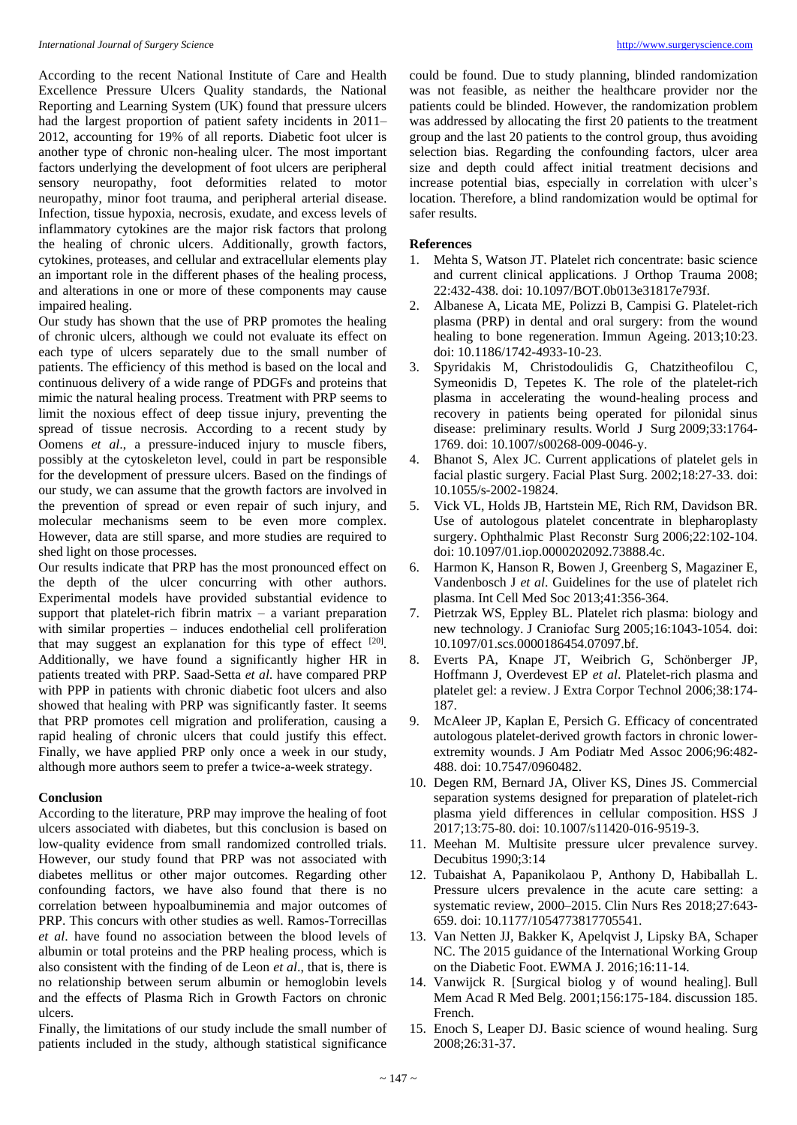According to the recent National Institute of Care and Health Excellence Pressure Ulcers Quality standards, the National Reporting and Learning System (UK) found that pressure ulcers had the largest proportion of patient safety incidents in 2011– 2012, accounting for 19% of all reports. Diabetic foot ulcer is another type of chronic non-healing ulcer. The most important factors underlying the development of foot ulcers are peripheral sensory neuropathy, foot deformities related to motor neuropathy, minor foot trauma, and peripheral arterial disease. Infection, tissue hypoxia, necrosis, exudate, and excess levels of inflammatory cytokines are the major risk factors that prolong the healing of chronic ulcers. Additionally, growth factors, cytokines, proteases, and cellular and extracellular elements play an important role in the different phases of the healing process, and alterations in one or more of these components may cause impaired healing.

Our study has shown that the use of PRP promotes the healing of chronic ulcers, although we could not evaluate its effect on each type of ulcers separately due to the small number of patients. The efficiency of this method is based on the local and continuous delivery of a wide range of PDGFs and proteins that mimic the natural healing process. Treatment with PRP seems to limit the noxious effect of deep tissue injury, preventing the spread of tissue necrosis. According to a recent study by Oomens *et al*., a pressure-induced injury to muscle fibers, possibly at the cytoskeleton level, could in part be responsible for the development of pressure ulcers. Based on the findings of our study, we can assume that the growth factors are involved in the prevention of spread or even repair of such injury, and molecular mechanisms seem to be even more complex. However, data are still sparse, and more studies are required to shed light on those processes.

Our results indicate that PRP has the most pronounced effect on the depth of the ulcer concurring with other authors. Experimental models have provided substantial evidence to support that platelet-rich fibrin matrix  $-$  a variant preparation with similar properties – induces endothelial cell proliferation that may suggest an explanation for this type of effect  $[20]$ . Additionally, we have found a significantly higher HR in patients treated with PRP. Saad-Setta *et al*. have compared PRP with PPP in patients with chronic diabetic foot ulcers and also showed that healing with PRP was significantly faster. It seems that PRP promotes cell migration and proliferation, causing a rapid healing of chronic ulcers that could justify this effect. Finally, we have applied PRP only once a week in our study, although more authors seem to prefer a twice-a-week strategy.

# **Conclusion**

According to the literature, PRP may improve the healing of foot ulcers associated with diabetes, but this conclusion is based on low-quality evidence from small randomized controlled trials. However, our study found that PRP was not associated with diabetes mellitus or other major outcomes. Regarding other confounding factors, we have also found that there is no correlation between hypoalbuminemia and major outcomes of PRP. This concurs with other studies as well. Ramos-Torrecillas *et al*. have found no association between the blood levels of albumin or total proteins and the PRP healing process, which is also consistent with the finding of de Leon *et al*., that is, there is no relationship between serum albumin or hemoglobin levels and the effects of Plasma Rich in Growth Factors on chronic ulcers.

Finally, the limitations of our study include the small number of patients included in the study, although statistical significance

could be found. Due to study planning, blinded randomization was not feasible, as neither the healthcare provider nor the patients could be blinded. However, the randomization problem was addressed by allocating the first 20 patients to the treatment group and the last 20 patients to the control group, thus avoiding selection bias. Regarding the confounding factors, ulcer area size and depth could affect initial treatment decisions and increase potential bias, especially in correlation with ulcer's location. Therefore, a blind randomization would be optimal for safer results.

# **References**

- 1. Mehta S, Watson JT. Platelet rich concentrate: basic science and current clinical applications. J Orthop Trauma 2008; 22:432-438. doi: 10.1097/BOT.0b013e31817e793f.
- 2. Albanese A, Licata ME, Polizzi B, Campisi G. Platelet-rich plasma (PRP) in dental and oral surgery: from the wound healing to bone regeneration. Immun Ageing. 2013;10:23. doi: 10.1186/1742-4933-10-23.
- 3. Spyridakis M, Christodoulidis G, Chatzitheofilou C, Symeonidis D, Tepetes K. The role of the platelet-rich plasma in accelerating the wound-healing process and recovery in patients being operated for pilonidal sinus disease: preliminary results. World J Surg 2009;33:1764- 1769. doi: 10.1007/s00268-009-0046-y.
- 4. Bhanot S, Alex JC. Current applications of platelet gels in facial plastic surgery. Facial Plast Surg. 2002;18:27-33. doi: 10.1055/s-2002-19824.
- 5. Vick VL, Holds JB, Hartstein ME, Rich RM, Davidson BR. Use of autologous platelet concentrate in blepharoplasty surgery. Ophthalmic Plast Reconstr Surg 2006;22:102-104. doi: 10.1097/01.iop.0000202092.73888.4c.
- 6. Harmon K, Hanson R, Bowen J, Greenberg S, Magaziner E, Vandenbosch J *et al*. Guidelines for the use of platelet rich plasma. Int Cell Med Soc 2013;41:356-364.
- 7. Pietrzak WS, Eppley BL. Platelet rich plasma: biology and new technology. J Craniofac Surg 2005;16:1043-1054. doi: 10.1097/01.scs.0000186454.07097.bf.
- 8. Everts PA, Knape JT, Weibrich G, Schönberger JP, Hoffmann J, Overdevest EP *et al*. Platelet-rich plasma and platelet gel: a review. J Extra Corpor Technol 2006;38:174- 187.
- 9. McAleer JP, Kaplan E, Persich G. Efficacy of concentrated autologous platelet-derived growth factors in chronic lowerextremity wounds. J Am Podiatr Med Assoc 2006;96:482- 488. doi: 10.7547/0960482.
- 10. Degen RM, Bernard JA, Oliver KS, Dines JS. Commercial separation systems designed for preparation of platelet-rich plasma yield differences in cellular composition. HSS J 2017;13:75-80. doi: 10.1007/s11420-016-9519-3.
- 11. Meehan M. Multisite pressure ulcer prevalence survey. Decubitus 1990;3:14
- 12. Tubaishat A, Papanikolaou P, Anthony D, Habiballah L. Pressure ulcers prevalence in the acute care setting: a systematic review, 2000–2015. Clin Nurs Res 2018;27:643- 659. doi: 10.1177/1054773817705541.
- 13. Van Netten JJ, Bakker K, Apelqvist J, Lipsky BA, Schaper NC. The 2015 guidance of the International Working Group on the Diabetic Foot. EWMA J. 2016;16:11-14.
- 14. Vanwijck R. [Surgical biolog y of wound healing]. Bull Mem Acad R Med Belg. 2001;156:175-184. discussion 185. French.
- 15. Enoch S, Leaper DJ. Basic science of wound healing. Surg 2008;26:31-37.